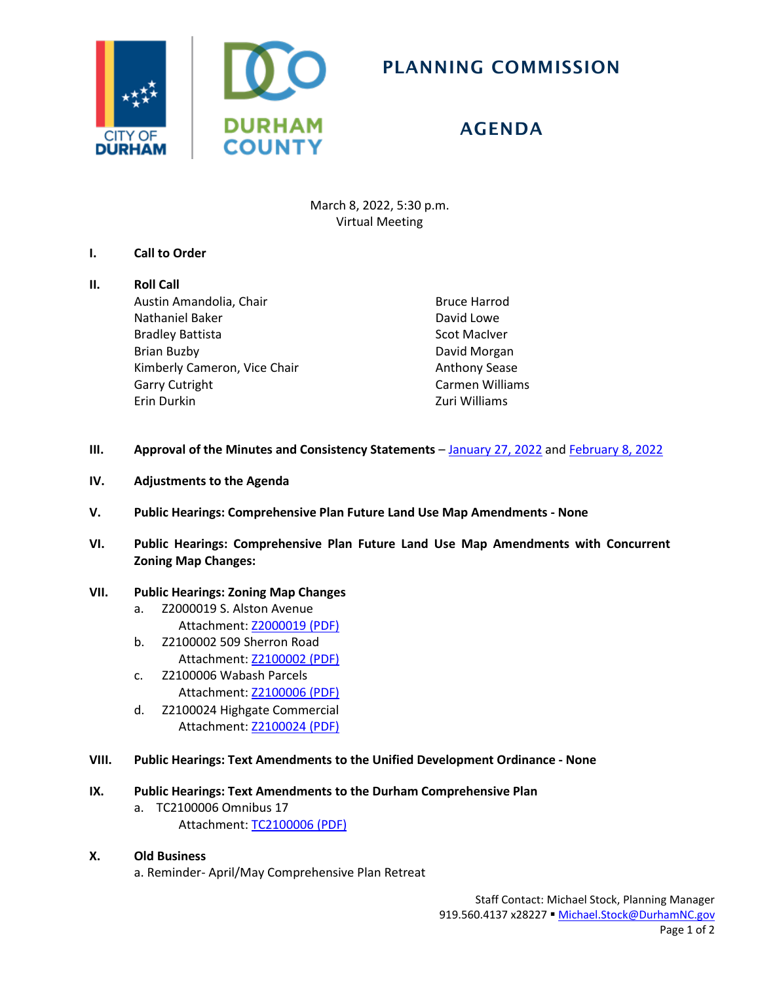

## PLANNING COMMISSION

## AGENDA

March 8, 2022, 5:30 p.m. Virtual Meeting

## **I. Call to Order**

# **II. Roll Call**

Austin Amandolia, Chair Nathaniel Baker Bradley Battista Brian Buzby Kimberly Cameron, Vice Chair Garry Cutright Erin Durkin

Bruce Harrod David Lowe Scot MacIver David Morgan Anthony Sease Carmen Williams Zuri Williams

- **III.** Approval of the Minutes and Consistency Statements [January 27, 2022](https://www.durhamnc.gov/DocumentCenter/View/42946/PC-Minutes-01-27-2022) an[d February 8, 2022](https://www.durhamnc.gov/DocumentCenter/View/43107/PC-Minutes-02-08-2022)
- **IV. Adjustments to the Agenda**
- **V. Public Hearings: Comprehensive Plan Future Land Use Map Amendments - None**
- **VI. Public Hearings: Comprehensive Plan Future Land Use Map Amendments with Concurrent Zoning Map Changes:**

### **VII. Public Hearings: Zoning Map Changes**

- a. Z2000019 S. Alston Avenue Attachment: [Z2000019](https://durhamnc.gov/DocumentCenter/View/42941/Z2000019) (PDF)
- b. Z2100002 509 Sherron Road Attachment: [Z2100002](https://durhamnc.gov/DocumentCenter/View/42942/Z2100002) (PDF)
- c. Z2100006 Wabash Parcels Attachment: [Z2100006](https://durhamnc.gov/DocumentCenter/View/42943/Z2100006) (PDF)
- d. Z2100024 Highgate Commercial Attachment: [Z2100024 \(PDF\)](https://durhamnc.gov/DocumentCenter/View/42944/Z2100024)
- **VIII. Public Hearings: Text Amendments to the Unified Development Ordinance - None**

#### **IX. Public Hearings: Text Amendments to the Durham Comprehensive Plan**

- a. TC2100006 Omnibus 17 Attachment: [TC2100006 \(PDF\)](https://durhamnc.gov/DocumentCenter/View/42947/TC2100006)
- **X. Old Business** a. Reminder- April/May Comprehensive Plan Retreat